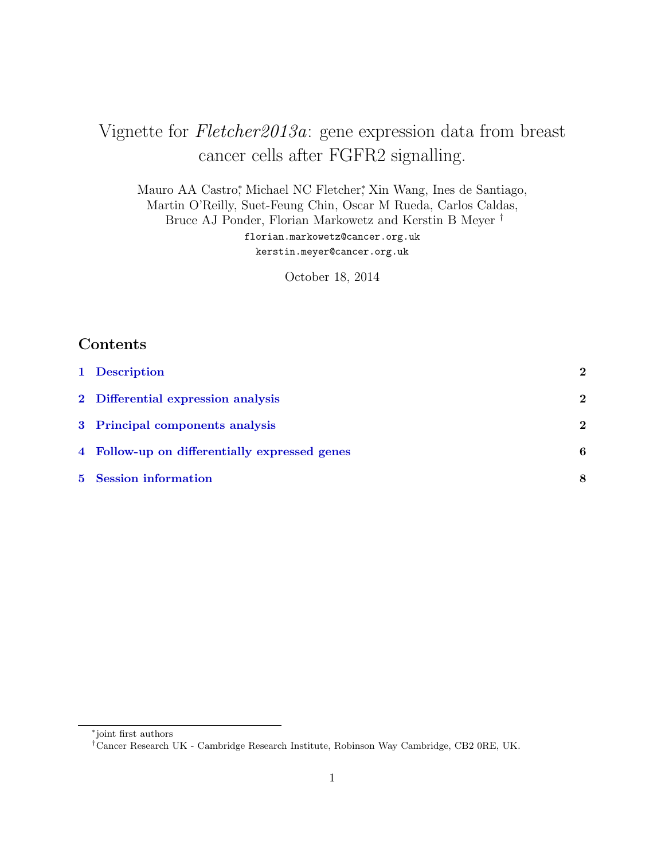# Vignette for Fletcher2013a: gene expression data from breast cancer cells after FGFR2 signalling.

Mauro AA Castro<sup>\*</sup>, Michael NC Fletcher<sup>\*</sup>, Xin Wang, Ines de Santiago, Martin O'Reilly, Suet-Feung Chin, Oscar M Rueda, Carlos Caldas, Bruce AJ Ponder, Florian Markowetz and Kerstin B Meyer † florian.markowetz@cancer.org.uk kerstin.meyer@cancer.org.uk

October 18, 2014

### Contents

| 1 Description                                 | 2                |
|-----------------------------------------------|------------------|
| 2 Differential expression analysis            | 2                |
| 3 Principal components analysis               | $\boldsymbol{2}$ |
| 4 Follow-up on differentially expressed genes | 6                |
| 5 Session information                         | 8                |

<sup>∗</sup> joint first authors

<sup>†</sup>Cancer Research UK - Cambridge Research Institute, Robinson Way Cambridge, CB2 0RE, UK.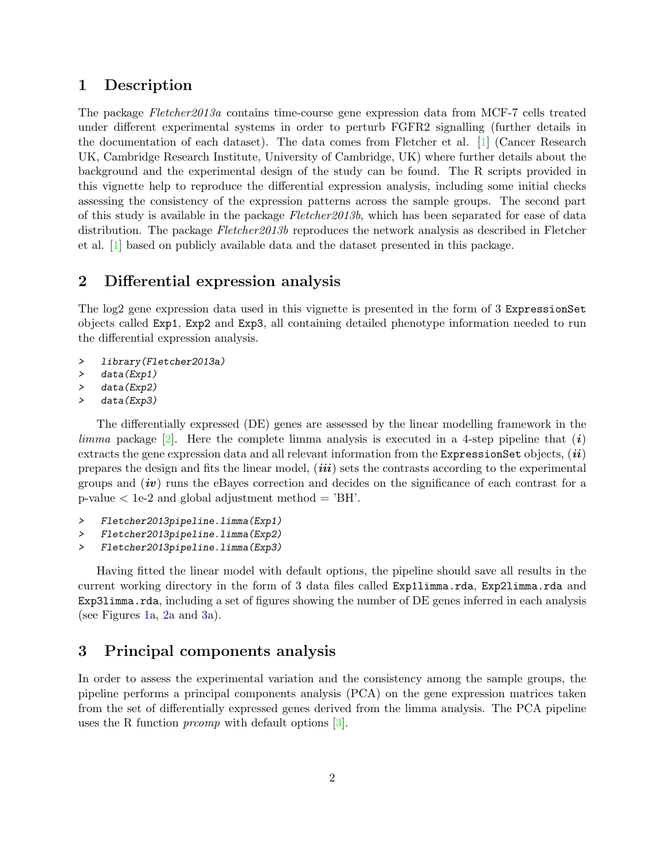#### <span id="page-1-0"></span>1 Description

The package Fletcher2013a contains time-course gene expression data from MCF-7 cells treated under different experimental systems in order to perturb FGFR2 signalling (further details in the documentation of each dataset). The data comes from Fletcher et al. [\[1\]](#page-8-0) (Cancer Research UK, Cambridge Research Institute, University of Cambridge, UK) where further details about the background and the experimental design of the study can be found. The R scripts provided in this vignette help to reproduce the differential expression analysis, including some initial checks assessing the consistency of the expression patterns across the sample groups. The second part of this study is available in the package Fletcher2013b, which has been separated for ease of data distribution. The package Fletcher2013b reproduces the network analysis as described in Fletcher et al. [\[1\]](#page-8-0) based on publicly available data and the dataset presented in this package.

### <span id="page-1-1"></span>2 Differential expression analysis

The log2 gene expression data used in this vignette is presented in the form of 3 ExpressionSet objects called Exp1, Exp2 and Exp3, all containing detailed phenotype information needed to run the differential expression analysis.

- > library(Fletcher2013a)
- > data(Exp1)
- > data(Exp2)
- > data(Exp3)

The differentially expressed (DE) genes are assessed by the linear modelling framework in the limma package  $[2]$ . Here the complete limma analysis is executed in a 4-step pipeline that  $(i)$ extracts the gene expression data and all relevant information from the ExpressionSet objects,  $(ii)$ prepares the design and fits the linear model,  $(iii)$  sets the contrasts according to the experimental groups and  $(iv)$  runs the eBayes correction and decides on the significance of each contrast for a p-value  $\langle$  1e-2 and global adjustment method  $=$  'BH'.

- > Fletcher2013pipeline.limma(Exp1)
- > Fletcher2013pipeline.limma(Exp2)
- > Fletcher2013pipeline.limma(Exp3)

Having fitted the linear model with default options, the pipeline should save all results in the current working directory in the form of 3 data files called Exp1limma.rda, Exp2limma.rda and Exp31imma.rda, including a set of figures showing the number of DE genes inferred in each analysis (see Figures [1a](#page-2-0), [2a](#page-3-0) and [3a](#page-4-0)).

#### <span id="page-1-2"></span>3 Principal components analysis

In order to assess the experimental variation and the consistency among the sample groups, the pipeline performs a principal components analysis (PCA) on the gene expression matrices taken from the set of differentially expressed genes derived from the limma analysis. The PCA pipeline uses the R function *prcomp* with default options [\[3\]](#page-8-2).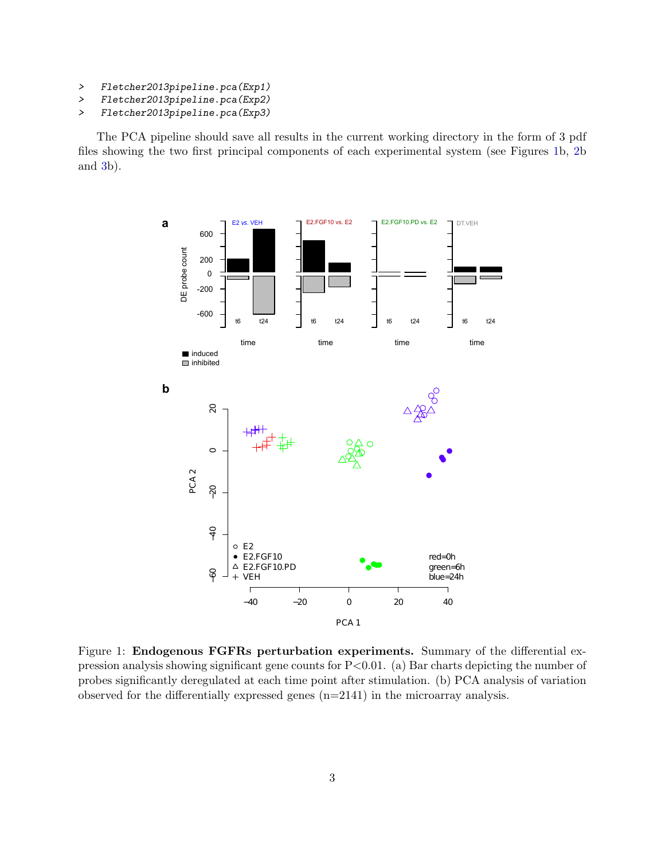- > Fletcher2013pipeline.pca(Exp1)
- > Fletcher2013pipeline.pca(Exp2)
- > Fletcher2013pipeline.pca(Exp3)

The PCA pipeline should save all results in the current working directory in the form of 3 pdf files showing the two first principal components of each experimental system (see Figures [1b](#page-2-0), [2b](#page-3-0) and [3b](#page-4-0)).

<span id="page-2-0"></span>

Figure 1: Endogenous FGFRs perturbation experiments. Summary of the differential expression analysis showing significant gene counts for  $P < 0.01$ . (a) Bar charts depicting the number of probes significantly deregulated at each time point after stimulation. (b) PCA analysis of variation observed for the differentially expressed genes (n=2141) in the microarray analysis.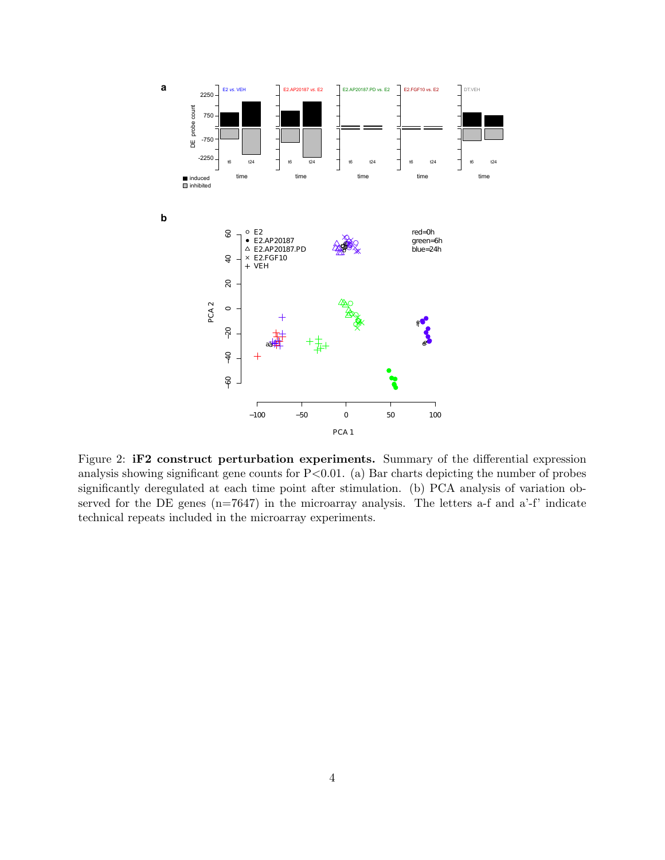<span id="page-3-0"></span>

Figure 2: iF2 construct perturbation experiments. Summary of the differential expression analysis showing significant gene counts for  $P<0.01$ . (a) Bar charts depicting the number of probes significantly deregulated at each time point after stimulation. (b) PCA analysis of variation observed for the DE genes  $(n=7647)$  in the microarray analysis. The letters a-f and a'-f' indicate technical repeats included in the microarray experiments.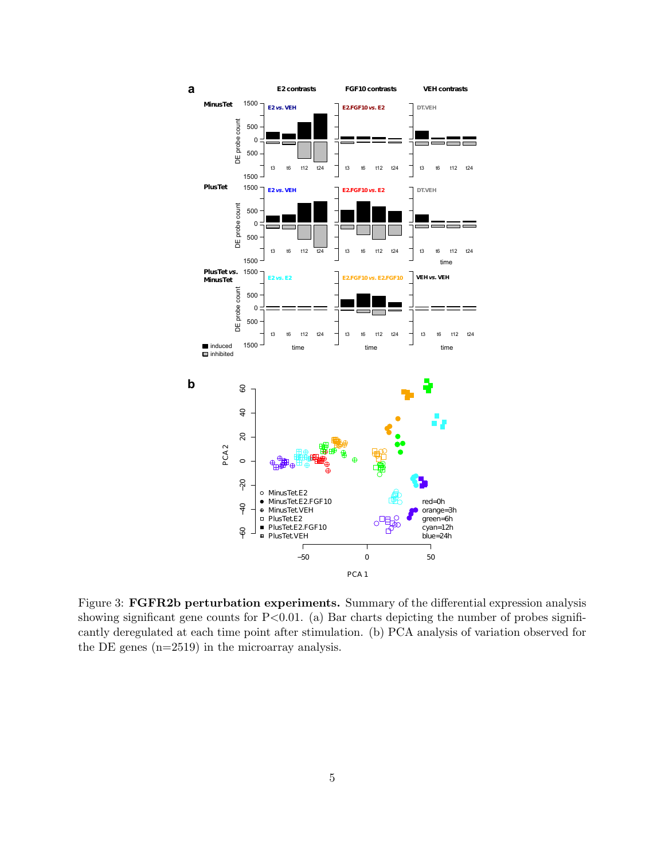<span id="page-4-0"></span>

Figure 3: FGFR2b perturbation experiments. Summary of the differential expression analysis showing significant gene counts for  $P<0.01$ . (a) Bar charts depicting the number of probes significantly deregulated at each time point after stimulation. (b) PCA analysis of variation observed for the DE genes (n=2519) in the microarray analysis.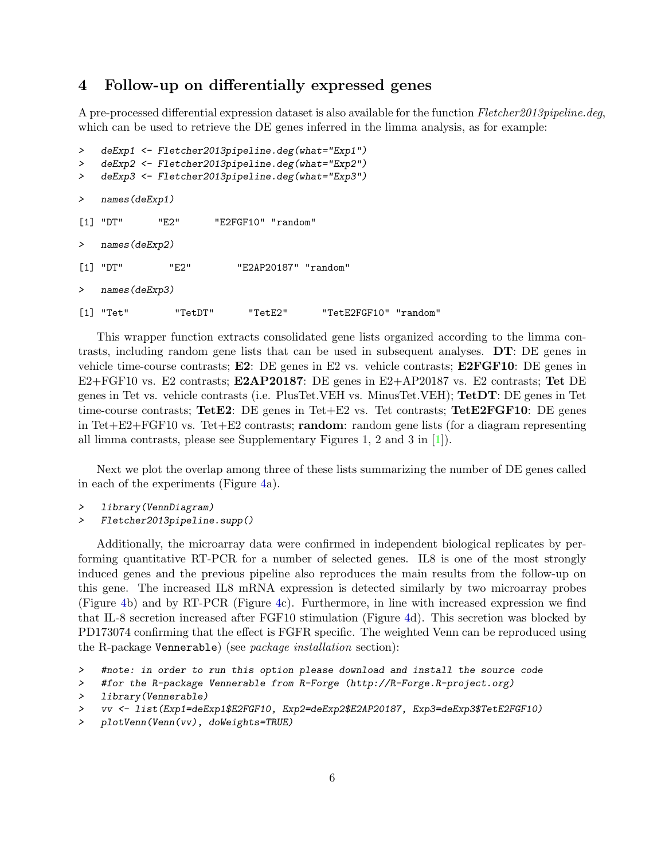#### <span id="page-5-0"></span>4 Follow-up on differentially expressed genes

A pre-processed differential expression dataset is also available for the function Fletcher2013pipeline.deg, which can be used to retrieve the DE genes inferred in the limma analysis, as for example:

```
> deExp1 <- Fletcher2013pipeline.deg(what="Exp1")
> deExp2 <- Fletcher2013pipeline.deg(what="Exp2")
> deExp3 <- Fletcher2013pipeline.deg(what="Exp3")
> names(deExp1)
[1] "DT" "E2" "E2FGF10" "random"
> names(deExp2)
[1] "DT" "E2" "E2AP20187" "random"
   names(deExp3)
[1] "Tet" "TetDT" "TetE2" "TetE2FGF10" "random"
```
This wrapper function extracts consolidated gene lists organized according to the limma contrasts, including random gene lists that can be used in subsequent analyses. DT: DE genes in vehicle time-course contrasts;  $E2$ : DE genes in E2 vs. vehicle contrasts;  $E2FGF10$ : DE genes in E2+FGF10 vs. E2 contrasts; E2AP20187: DE genes in E2+AP20187 vs. E2 contrasts; Tet DE genes in Tet vs. vehicle contrasts (i.e. PlusTet.VEH vs. MinusTet.VEH); TetDT: DE genes in Tet time-course contrasts; TetE2: DE genes in Tet+E2 vs. Tet contrasts; TetE2FGF10: DE genes in Tet+E2+FGF10 vs. Tet+E2 contrasts; random: random gene lists (for a diagram representing all limma contrasts, please see Supplementary Figures 1, 2 and 3 in [\[1\]](#page-8-0)).

Next we plot the overlap among three of these lists summarizing the number of DE genes called in each of the experiments (Figure [4a](#page-6-0)).

- > library(VennDiagram)
- > Fletcher2013pipeline.supp()

Additionally, the microarray data were confirmed in independent biological replicates by performing quantitative RT-PCR for a number of selected genes. IL8 is one of the most strongly induced genes and the previous pipeline also reproduces the main results from the follow-up on this gene. The increased IL8 mRNA expression is detected similarly by two microarray probes (Figure [4b](#page-6-0)) and by RT-PCR (Figure [4c](#page-6-0)). Furthermore, in line with increased expression we find that IL-8 secretion increased after FGF10 stimulation (Figure [4d](#page-6-0)). This secretion was blocked by PD173074 confirming that the effect is FGFR specific. The weighted Venn can be reproduced using the R-package Vennerable) (see package installation section):

<sup>&</sup>gt; #note: in order to run this option please download and install the source code

<sup>&</sup>gt; #for the R-package Vennerable from R-Forge (http://R-Forge.R-project.org)

<sup>&</sup>gt; library(Vennerable)

<sup>&</sup>gt; vv <- list(Exp1=deExp1\$E2FGF10, Exp2=deExp2\$E2AP20187, Exp3=deExp3\$TetE2FGF10)

<sup>&</sup>gt; plotVenn(Venn(vv), doWeights=TRUE)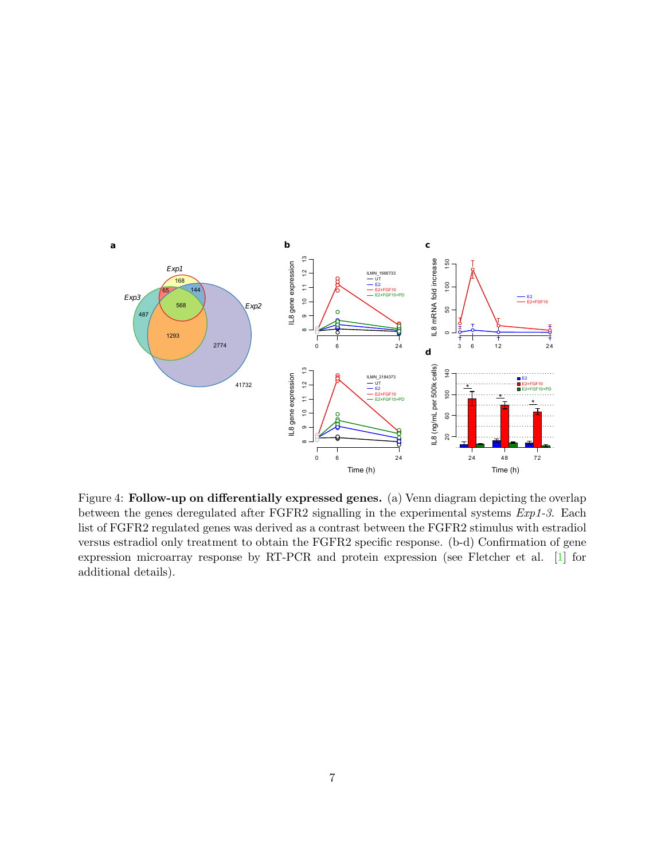<span id="page-6-0"></span>

Figure 4: Follow-up on differentially expressed genes. (a) Venn diagram depicting the overlap between the genes deregulated after FGFR2 signalling in the experimental systems Exp1-3. Each list of FGFR2 regulated genes was derived as a contrast between the FGFR2 stimulus with estradiol versus estradiol only treatment to obtain the FGFR2 specific response. (b-d) Confirmation of gene expression microarray response by RT-PCR and protein expression (see Fletcher et al. [\[1\]](#page-8-0) for additional details).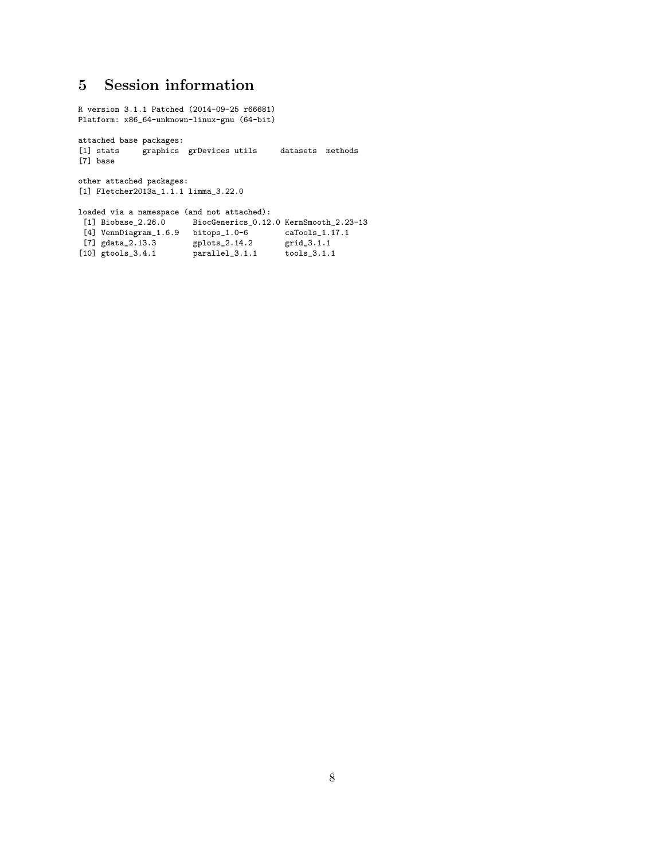## <span id="page-7-0"></span>5 Session information

R version 3.1.1 Patched (2014-09-25 r66681) Platform: x86\_64-unknown-linux-gnu (64-bit) attached base packages: [1] stats <br> graphics grDevices utils datasets methods [7] base other attached packages: [1] Fletcher2013a\_1.1.1 limma\_3.22.0 loaded via a namespace (and not attached):<br>[1] Biobase\_2.26.0 BiocGenerics\_0.12 BiocGenerics\_0.12.0 KernSmooth\_2.23-13 [4] VennDiagram\_1.6.9 bitops\_1.0-6 caTools\_1.17.1 [7] gdata\_2.13.3 gplots\_2.14.2 grid\_3.1.1

[10] gtools\_3.4.1 parallel\_3.1.1 tools\_3.1.1